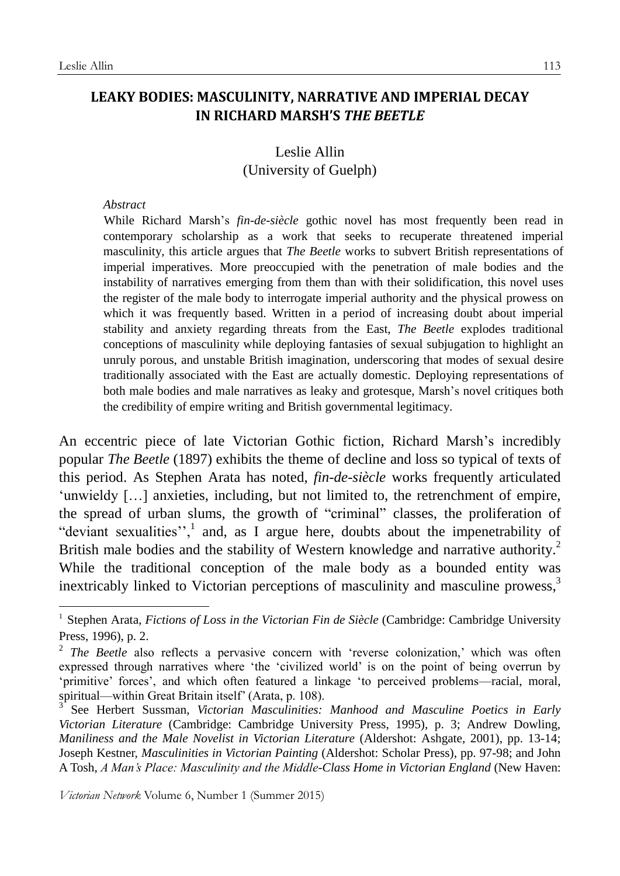1

## **LEAKY BODIES: MASCULINITY, NARRATIVE AND IMPERIAL DECAY IN RICHARD MARSH'S** *THE BEETLE*

# Leslie Allin (University of Guelph)

#### *Abstract*

While Richard Marsh's *fin-de-siècle* gothic novel has most frequently been read in contemporary scholarship as a work that seeks to recuperate threatened imperial masculinity, this article argues that *The Beetle* works to subvert British representations of imperial imperatives. More preoccupied with the penetration of male bodies and the instability of narratives emerging from them than with their solidification, this novel uses the register of the male body to interrogate imperial authority and the physical prowess on which it was frequently based. Written in a period of increasing doubt about imperial stability and anxiety regarding threats from the East, *The Beetle* explodes traditional conceptions of masculinity while deploying fantasies of sexual subjugation to highlight an unruly porous, and unstable British imagination, underscoring that modes of sexual desire traditionally associated with the East are actually domestic. Deploying representations of both male bodies and male narratives as leaky and grotesque, Marsh's novel critiques both the credibility of empire writing and British governmental legitimacy.

An eccentric piece of late Victorian Gothic fiction, Richard Marsh's incredibly popular *The Beetle* (1897) exhibits the theme of decline and loss so typical of texts of this period. As Stephen Arata has noted, *fin-de-siècle* works frequently articulated 'unwieldy […] anxieties, including, but not limited to, the retrenchment of empire, the spread of urban slums, the growth of "criminal" classes, the proliferation of "deviant sexualities", $\frac{1}{x}$  and, as I argue here, doubts about the impenetrability of British male bodies and the stability of Western knowledge and narrative authority.<sup>2</sup> While the traditional conception of the male body as a bounded entity was inextricably linked to Victorian perceptions of masculinity and masculine prowess,<sup>3</sup>

<sup>1</sup> Stephen Arata, *Fictions of Loss in the Victorian Fin de Siècle* (Cambridge: Cambridge University Press, 1996), p. 2.

<sup>&</sup>lt;sup>2</sup> The Beetle also reflects a pervasive concern with 'reverse colonization,' which was often expressed through narratives where 'the 'civilized world' is on the point of being overrun by 'primitive' forces', and which often featured a linkage 'to perceived problems—racial, moral, spiritual—within Great Britain itself' (Arata, p. 108).<br><sup>3</sup> See Herbert, Suseman, *Victorian, Masqulinities* 

See Herbert Sussman, *Victorian Masculinities: Manhood and Masculine Poetics in Early Victorian Literature* (Cambridge: Cambridge University Press, 1995), p. 3; Andrew Dowling, *Maniliness and the Male Novelist in Victorian Literature* (Aldershot: Ashgate, 2001), pp. 13-14; Joseph Kestner, *Masculinities in Victorian Painting* (Aldershot: Scholar Press), pp. 97-98; and John A Tosh, *A Man's Place: Masculinity and the Middle-Class Home in Victorian England* (New Haven: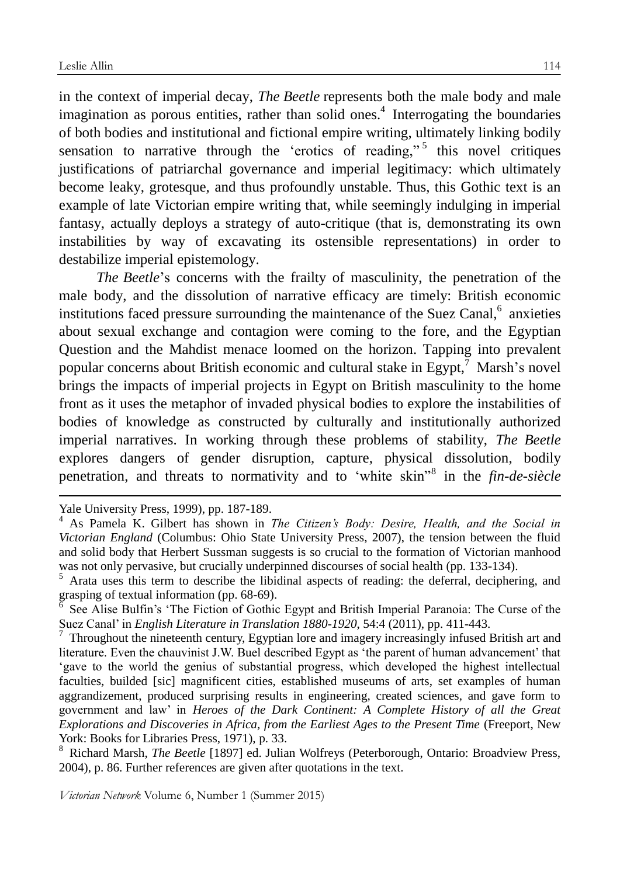in the context of imperial decay, *The Beetle* represents both the male body and male imagination as porous entities, rather than solid ones.<sup>4</sup> Interrogating the boundaries of both bodies and institutional and fictional empire writing, ultimately linking bodily sensation to narrative through the 'erotics of reading,"<sup>5</sup> this novel critiques justifications of patriarchal governance and imperial legitimacy: which ultimately become leaky, grotesque, and thus profoundly unstable. Thus, this Gothic text is an example of late Victorian empire writing that, while seemingly indulging in imperial fantasy, actually deploys a strategy of auto-critique (that is, demonstrating its own instabilities by way of excavating its ostensible representations) in order to destabilize imperial epistemology.

*The Beetle*'s concerns with the frailty of masculinity, the penetration of the male body, and the dissolution of narrative efficacy are timely: British economic institutions faced pressure surrounding the maintenance of the Suez Canal, $^6$  anxieties about sexual exchange and contagion were coming to the fore, and the Egyptian Question and the Mahdist menace loomed on the horizon. Tapping into prevalent popular concerns about British economic and cultural stake in Egypt,<sup>7</sup> Marsh's novel brings the impacts of imperial projects in Egypt on British masculinity to the home front as it uses the metaphor of invaded physical bodies to explore the instabilities of bodies of knowledge as constructed by culturally and institutionally authorized imperial narratives. In working through these problems of stability, *The Beetle* explores dangers of gender disruption, capture, physical dissolution, bodily penetration, and threats to normativity and to 'white skin"<sup>8</sup> in the *fin-de-siècle*

<u>.</u>

<sup>8</sup> Richard Marsh, *The Beetle* [1897] ed. Julian Wolfreys (Peterborough, Ontario: Broadview Press, 2004), p. 86. Further references are given after quotations in the text.

Yale University Press, 1999), pp. 187-189.

<sup>4</sup> As Pamela K. Gilbert has shown in *The Citizen's Body: Desire, Health, and the Social in Victorian England* (Columbus: Ohio State University Press, 2007), the tension between the fluid and solid body that Herbert Sussman suggests is so crucial to the formation of Victorian manhood was not only pervasive, but crucially underpinned discourses of social health (pp. 133-134).

<sup>&</sup>lt;sup>5</sup> Arata uses this term to describe the libidinal aspects of reading: the deferral, deciphering, and grasping of textual information (pp. 68-69).

<sup>6</sup> See Alise Bulfin's 'The Fiction of Gothic Egypt and British Imperial Paranoia: The Curse of the Suez Canal' in *English Literature in Translation 1880-1920*, 54:4 (2011), pp. 411-443.

<sup>7</sup> Throughout the nineteenth century, Egyptian lore and imagery increasingly infused British art and literature. Even the chauvinist J.W. Buel described Egypt as 'the parent of human advancement' that 'gave to the world the genius of substantial progress, which developed the highest intellectual faculties, builded [sic] magnificent cities, established museums of arts, set examples of human aggrandizement, produced surprising results in engineering, created sciences, and gave form to government and law' in *Heroes of the Dark Continent: A Complete History of all the Great Explorations and Discoveries in Africa, from the Earliest Ages to the Present Time* (Freeport, New York: Books for Libraries Press, 1971), p. 33.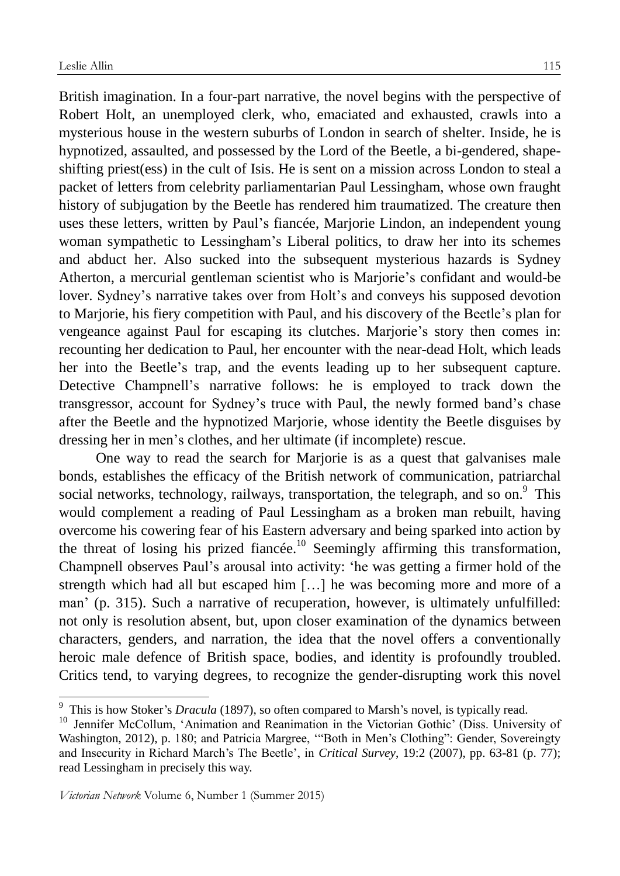British imagination. In a four-part narrative, the novel begins with the perspective of Robert Holt, an unemployed clerk, who, emaciated and exhausted, crawls into a mysterious house in the western suburbs of London in search of shelter. Inside, he is hypnotized, assaulted, and possessed by the Lord of the Beetle, a bi-gendered, shapeshifting priest(ess) in the cult of Isis. He is sent on a mission across London to steal a packet of letters from celebrity parliamentarian Paul Lessingham, whose own fraught history of subjugation by the Beetle has rendered him traumatized. The creature then uses these letters, written by Paul's fiancée, Marjorie Lindon, an independent young woman sympathetic to Lessingham's Liberal politics, to draw her into its schemes and abduct her. Also sucked into the subsequent mysterious hazards is Sydney Atherton, a mercurial gentleman scientist who is Marjorie's confidant and would-be lover. Sydney's narrative takes over from Holt's and conveys his supposed devotion to Marjorie, his fiery competition with Paul, and his discovery of the Beetle's plan for vengeance against Paul for escaping its clutches. Marjorie's story then comes in: recounting her dedication to Paul, her encounter with the near-dead Holt, which leads her into the Beetle's trap, and the events leading up to her subsequent capture. Detective Champnell's narrative follows: he is employed to track down the transgressor, account for Sydney's truce with Paul, the newly formed band's chase after the Beetle and the hypnotized Marjorie, whose identity the Beetle disguises by dressing her in men's clothes, and her ultimate (if incomplete) rescue.

One way to read the search for Marjorie is as a quest that galvanises male bonds, establishes the efficacy of the British network of communication, patriarchal social networks, technology, railways, transportation, the telegraph, and so on.<sup>9</sup> This would complement a reading of Paul Lessingham as a broken man rebuilt, having overcome his cowering fear of his Eastern adversary and being sparked into action by the threat of losing his prized fiancée.<sup>10</sup> Seemingly affirming this transformation, Champnell observes Paul's arousal into activity: 'he was getting a firmer hold of the strength which had all but escaped him […] he was becoming more and more of a man' (p. 315). Such a narrative of recuperation, however, is ultimately unfulfilled: not only is resolution absent, but, upon closer examination of the dynamics between characters, genders, and narration, the idea that the novel offers a conventionally heroic male defence of British space, bodies, and identity is profoundly troubled. Critics tend, to varying degrees, to recognize the gender-disrupting work this novel

<u>.</u>

<sup>9</sup> This is how Stoker's *Dracula* (1897), so often compared to Marsh's novel, is typically read.

<sup>&</sup>lt;sup>10</sup> Jennifer McCollum, 'Animation and Reanimation in the Victorian Gothic' (Diss. University of Washington, 2012), p. 180; and Patricia Margree, '"Both in Men's Clothing": Gender, Sovereingty and Insecurity in Richard March's The Beetle', in *Critical Survey*, 19:2 (2007), pp. 63-81 (p. 77); read Lessingham in precisely this way.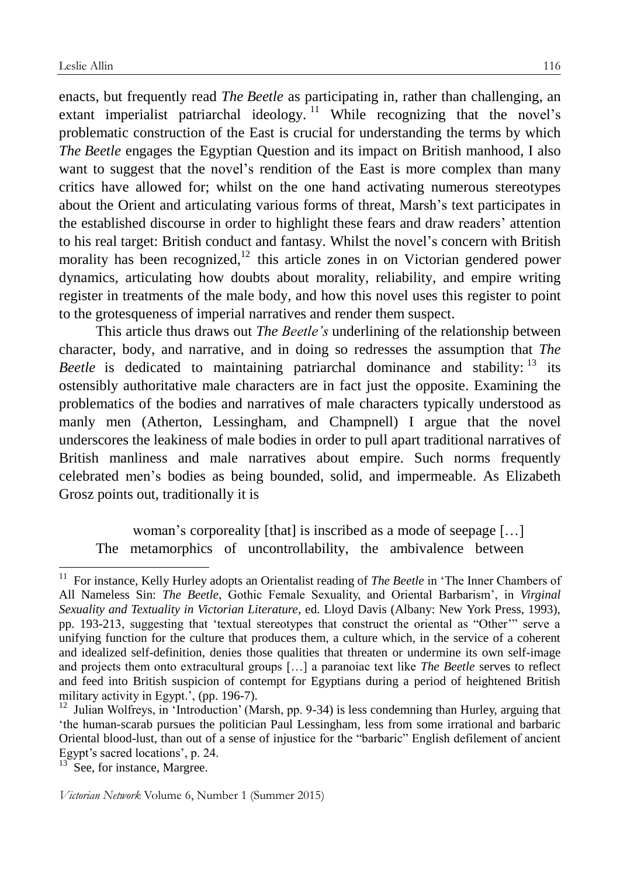enacts, but frequently read *The Beetle* as participating in, rather than challenging, an extant imperialist patriarchal ideology.<sup>11</sup> While recognizing that the novel's problematic construction of the East is crucial for understanding the terms by which *The Beetle* engages the Egyptian Question and its impact on British manhood, I also want to suggest that the novel's rendition of the East is more complex than many critics have allowed for; whilst on the one hand activating numerous stereotypes about the Orient and articulating various forms of threat, Marsh's text participates in the established discourse in order to highlight these fears and draw readers' attention to his real target: British conduct and fantasy. Whilst the novel's concern with British morality has been recognized, $12$  this article zones in on Victorian gendered power dynamics, articulating how doubts about morality, reliability, and empire writing register in treatments of the male body, and how this novel uses this register to point to the grotesqueness of imperial narratives and render them suspect.

This article thus draws out *The Beetle's* underlining of the relationship between character, body, and narrative, and in doing so redresses the assumption that *The Beetle* is dedicated to maintaining patriarchal dominance and stability:  $13$  its ostensibly authoritative male characters are in fact just the opposite. Examining the problematics of the bodies and narratives of male characters typically understood as manly men (Atherton, Lessingham, and Champnell) I argue that the novel underscores the leakiness of male bodies in order to pull apart traditional narratives of British manliness and male narratives about empire. Such norms frequently celebrated men's bodies as being bounded, solid, and impermeable. As Elizabeth Grosz points out, traditionally it is

woman's corporeality [that] is inscribed as a mode of seepage […] The metamorphics of uncontrollability, the ambivalence between

<sup>13</sup> See, for instance, Margree.

<sup>&</sup>lt;sup>11</sup> For instance, Kelly Hurley adopts an Orientalist reading of *The Beetle* in 'The Inner Chambers of All Nameless Sin: *The Beetle*, Gothic Female Sexuality, and Oriental Barbarism', in *Virginal Sexuality and Textuality in Victorian Literature*, ed. Lloyd Davis (Albany: New York Press, 1993), pp. 193-213, suggesting that 'textual stereotypes that construct the oriental as "Other'" serve a unifying function for the culture that produces them, a culture which, in the service of a coherent and idealized self-definition, denies those qualities that threaten or undermine its own self-image and projects them onto extracultural groups […] a paranoiac text like *The Beetle* serves to reflect and feed into British suspicion of contempt for Egyptians during a period of heightened British military activity in Egypt.', (pp. 196-7).

<sup>&</sup>lt;sup>12</sup> Julian Wolfreys, in 'Introduction' (Marsh, pp. 9-34) is less condemning than Hurley, arguing that 'the human-scarab pursues the politician Paul Lessingham, less from some irrational and barbaric Oriental blood-lust, than out of a sense of injustice for the "barbaric" English defilement of ancient Egypt's sacred locations', p. 24.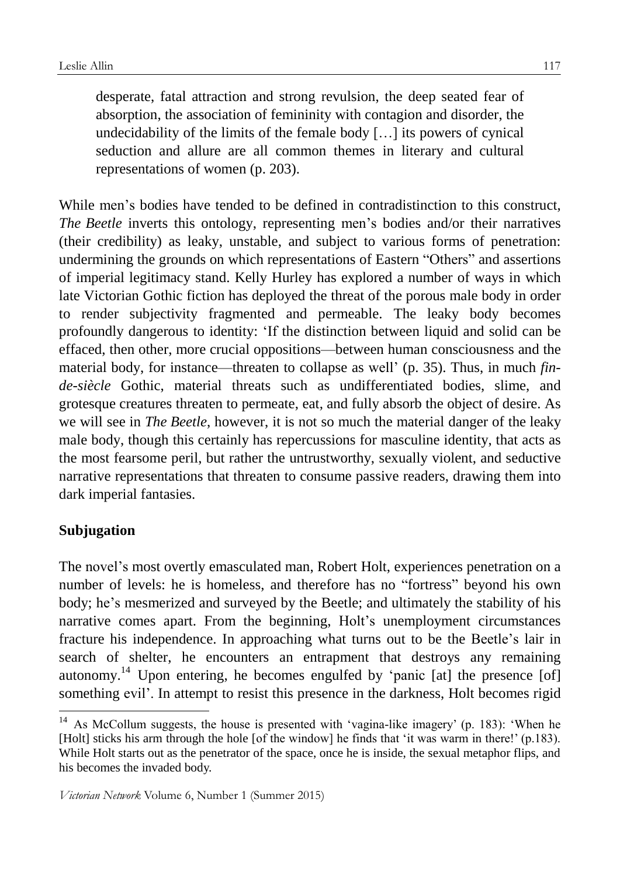desperate, fatal attraction and strong revulsion, the deep seated fear of absorption, the association of femininity with contagion and disorder, the undecidability of the limits of the female body […] its powers of cynical seduction and allure are all common themes in literary and cultural representations of women (p. 203).

While men's bodies have tended to be defined in contradistinction to this construct, *The Beetle* inverts this ontology, representing men's bodies and/or their narratives (their credibility) as leaky, unstable, and subject to various forms of penetration: undermining the grounds on which representations of Eastern "Others" and assertions of imperial legitimacy stand. Kelly Hurley has explored a number of ways in which late Victorian Gothic fiction has deployed the threat of the porous male body in order to render subjectivity fragmented and permeable. The leaky body becomes profoundly dangerous to identity: 'If the distinction between liquid and solid can be effaced, then other, more crucial oppositions—between human consciousness and the material body, for instance—threaten to collapse as well' (p. 35). Thus, in much *finde-siècle* Gothic, material threats such as undifferentiated bodies, slime, and grotesque creatures threaten to permeate, eat, and fully absorb the object of desire. As we will see in *The Beetle*, however, it is not so much the material danger of the leaky male body, though this certainly has repercussions for masculine identity, that acts as the most fearsome peril, but rather the untrustworthy, sexually violent, and seductive narrative representations that threaten to consume passive readers, drawing them into dark imperial fantasies.

# **Subjugation**

<u>.</u>

The novel's most overtly emasculated man, Robert Holt, experiences penetration on a number of levels: he is homeless, and therefore has no "fortress" beyond his own body; he's mesmerized and surveyed by the Beetle; and ultimately the stability of his narrative comes apart. From the beginning, Holt's unemployment circumstances fracture his independence. In approaching what turns out to be the Beetle's lair in search of shelter, he encounters an entrapment that destroys any remaining autonomy.<sup>14</sup> Upon entering, he becomes engulfed by 'panic [at] the presence [of] something evil'. In attempt to resist this presence in the darkness, Holt becomes rigid

<sup>&</sup>lt;sup>14</sup> As McCollum suggests, the house is presented with 'vagina-like imagery' (p. 183): 'When he [Holt] sticks his arm through the hole [of the window] he finds that 'it was warm in there!' (p.183). While Holt starts out as the penetrator of the space, once he is inside, the sexual metaphor flips, and his becomes the invaded body.

*Victorian Network* Volume 6, Number 1 (Summer 2015)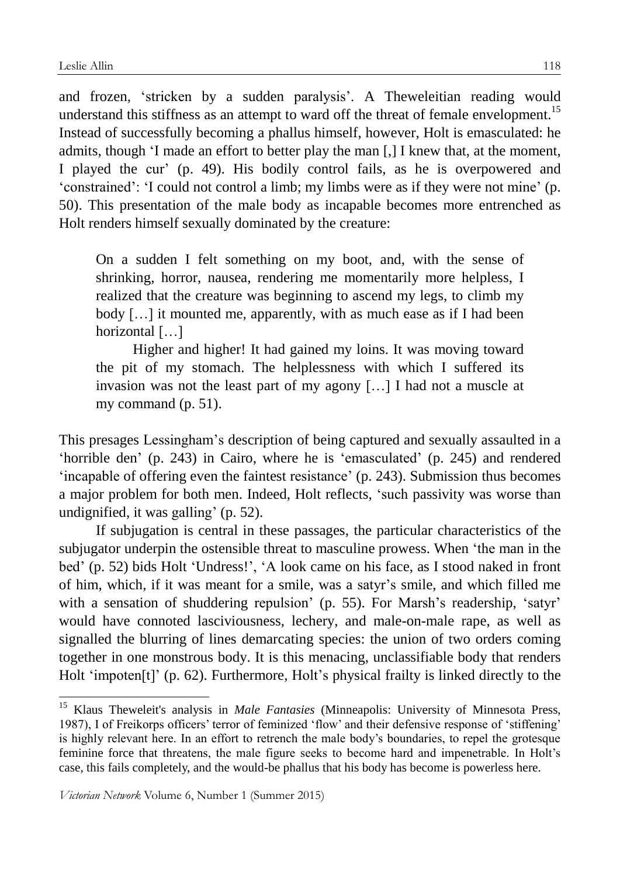<u>.</u>

and frozen, 'stricken by a sudden paralysis'. A Theweleitian reading would understand this stiffness as an attempt to ward off the threat of female envelopment.<sup>15</sup> Instead of successfully becoming a phallus himself, however, Holt is emasculated: he admits, though 'I made an effort to better play the man [,] I knew that, at the moment, I played the cur' (p. 49). His bodily control fails, as he is overpowered and 'constrained': 'I could not control a limb; my limbs were as if they were not mine' (p. 50). This presentation of the male body as incapable becomes more entrenched as Holt renders himself sexually dominated by the creature:

On a sudden I felt something on my boot, and, with the sense of shrinking, horror, nausea, rendering me momentarily more helpless, I realized that the creature was beginning to ascend my legs, to climb my body […] it mounted me, apparently, with as much ease as if I had been horizontal [...]

Higher and higher! It had gained my loins. It was moving toward the pit of my stomach. The helplessness with which I suffered its invasion was not the least part of my agony […] I had not a muscle at my command (p. 51).

This presages Lessingham's description of being captured and sexually assaulted in a 'horrible den' (p. 243) in Cairo, where he is 'emasculated' (p. 245) and rendered 'incapable of offering even the faintest resistance' (p. 243). Submission thus becomes a major problem for both men. Indeed, Holt reflects, 'such passivity was worse than undignified, it was galling' (p. 52).

If subjugation is central in these passages, the particular characteristics of the subjugator underpin the ostensible threat to masculine prowess. When 'the man in the bed' (p. 52) bids Holt 'Undress!', 'A look came on his face, as I stood naked in front of him, which, if it was meant for a smile, was a satyr's smile, and which filled me with a sensation of shuddering repulsion' (p. 55). For Marsh's readership, 'satyr' would have connoted lasciviousness, lechery, and male-on-male rape, as well as signalled the blurring of lines demarcating species: the union of two orders coming together in one monstrous body. It is this menacing, unclassifiable body that renders Holt 'impoten[t]' (p. 62). Furthermore, Holt's physical frailty is linked directly to the

<sup>&</sup>lt;sup>15</sup> Klaus Theweleit's analysis in *Male Fantasies* (Minneapolis: University of Minnesota Press, 1987), I of Freikorps officers' terror of feminized 'flow' and their defensive response of 'stiffening' is highly relevant here. In an effort to retrench the male body's boundaries, to repel the grotesque feminine force that threatens, the male figure seeks to become hard and impenetrable. In Holt's case, this fails completely, and the would-be phallus that his body has become is powerless here.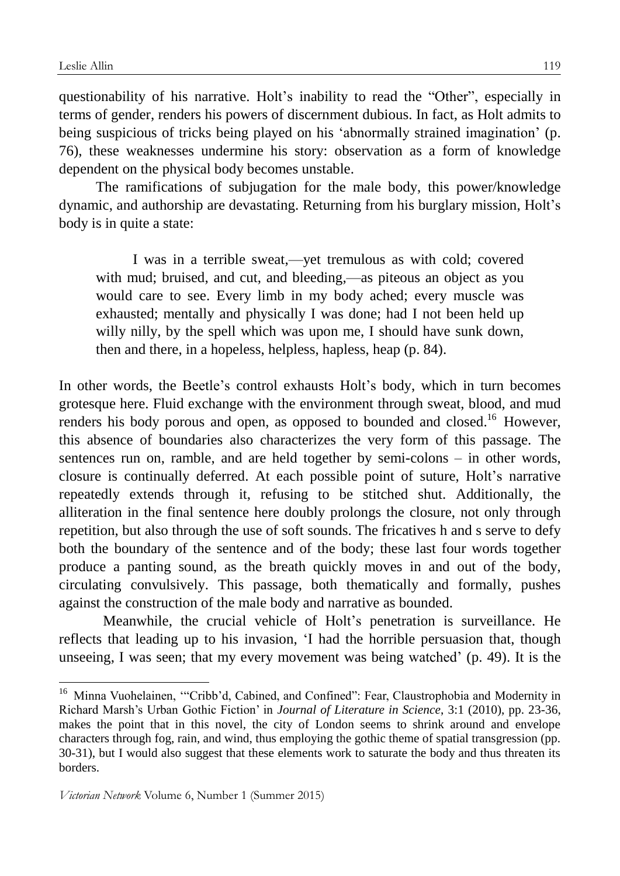1

questionability of his narrative. Holt's inability to read the "Other", especially in terms of gender, renders his powers of discernment dubious. In fact, as Holt admits to being suspicious of tricks being played on his 'abnormally strained imagination' (p. 76), these weaknesses undermine his story: observation as a form of knowledge dependent on the physical body becomes unstable.

The ramifications of subjugation for the male body, this power/knowledge dynamic, and authorship are devastating. Returning from his burglary mission, Holt's body is in quite a state:

I was in a terrible sweat,—yet tremulous as with cold; covered with mud; bruised, and cut, and bleeding,—as piteous an object as you would care to see. Every limb in my body ached; every muscle was exhausted; mentally and physically I was done; had I not been held up willy nilly, by the spell which was upon me, I should have sunk down, then and there, in a hopeless, helpless, hapless, heap (p. 84).

In other words, the Beetle's control exhausts Holt's body, which in turn becomes grotesque here. Fluid exchange with the environment through sweat, blood, and mud renders his body porous and open, as opposed to bounded and closed.<sup>16</sup> However, this absence of boundaries also characterizes the very form of this passage. The sentences run on, ramble, and are held together by semi-colons – in other words, closure is continually deferred. At each possible point of suture, Holt's narrative repeatedly extends through it, refusing to be stitched shut. Additionally, the alliteration in the final sentence here doubly prolongs the closure, not only through repetition, but also through the use of soft sounds. The fricatives h and s serve to defy both the boundary of the sentence and of the body; these last four words together produce a panting sound, as the breath quickly moves in and out of the body, circulating convulsively. This passage, both thematically and formally, pushes against the construction of the male body and narrative as bounded.

Meanwhile, the crucial vehicle of Holt's penetration is surveillance. He reflects that leading up to his invasion, 'I had the horrible persuasion that, though unseeing, I was seen; that my every movement was being watched' (p. 49). It is the

<sup>&</sup>lt;sup>16</sup> Minna Vuohelainen, "Cribb'd, Cabined, and Confined": Fear, Claustrophobia and Modernity in Richard Marsh's Urban Gothic Fiction' in *Journal of Literature in Science*, 3:1 (2010), pp. 23-36, makes the point that in this novel, the city of London seems to shrink around and envelope characters through fog, rain, and wind, thus employing the gothic theme of spatial transgression (pp. 30-31), but I would also suggest that these elements work to saturate the body and thus threaten its borders.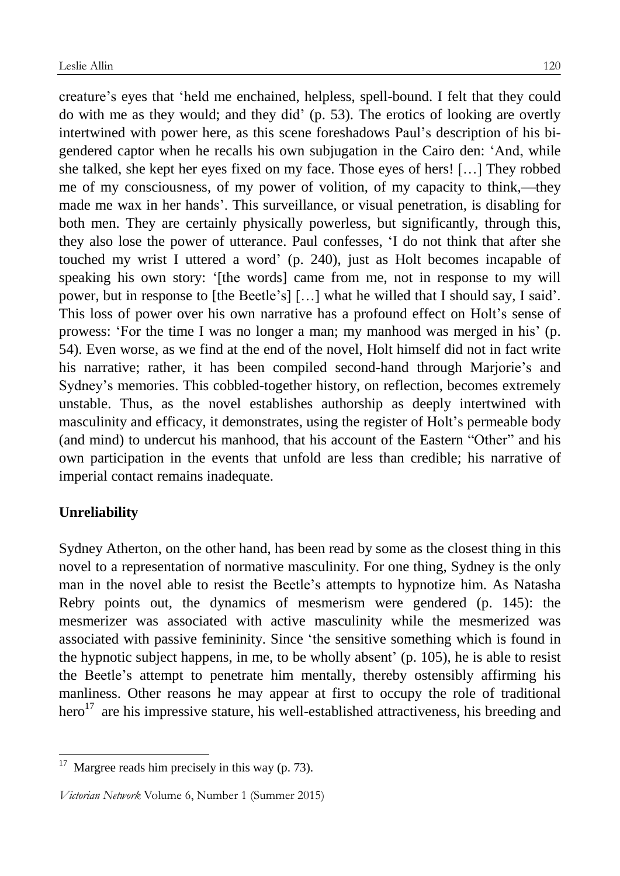creature's eyes that 'held me enchained, helpless, spell-bound. I felt that they could do with me as they would; and they did' (p. 53). The erotics of looking are overtly intertwined with power here, as this scene foreshadows Paul's description of his bigendered captor when he recalls his own subjugation in the Cairo den: 'And, while she talked, she kept her eyes fixed on my face. Those eyes of hers! […] They robbed me of my consciousness, of my power of volition, of my capacity to think,—they made me wax in her hands'. This surveillance, or visual penetration, is disabling for both men. They are certainly physically powerless, but significantly, through this, they also lose the power of utterance. Paul confesses, 'I do not think that after she touched my wrist I uttered a word' (p. 240), just as Holt becomes incapable of speaking his own story: '[the words] came from me, not in response to my will power, but in response to [the Beetle's] […] what he willed that I should say, I said'. This loss of power over his own narrative has a profound effect on Holt's sense of prowess: 'For the time I was no longer a man; my manhood was merged in his' (p. 54). Even worse, as we find at the end of the novel, Holt himself did not in fact write his narrative; rather, it has been compiled second-hand through Marjorie's and Sydney's memories. This cobbled-together history, on reflection, becomes extremely unstable. Thus, as the novel establishes authorship as deeply intertwined with masculinity and efficacy, it demonstrates, using the register of Holt's permeable body (and mind) to undercut his manhood, that his account of the Eastern "Other" and his own participation in the events that unfold are less than credible; his narrative of imperial contact remains inadequate.

# **Unreliability**

1

Sydney Atherton, on the other hand, has been read by some as the closest thing in this novel to a representation of normative masculinity. For one thing, Sydney is the only man in the novel able to resist the Beetle's attempts to hypnotize him. As Natasha Rebry points out, the dynamics of mesmerism were gendered (p. 145): the mesmerizer was associated with active masculinity while the mesmerized was associated with passive femininity. Since 'the sensitive something which is found in the hypnotic subject happens, in me, to be wholly absent' (p. 105), he is able to resist the Beetle's attempt to penetrate him mentally, thereby ostensibly affirming his manliness. Other reasons he may appear at first to occupy the role of traditional hero<sup>17</sup> are his impressive stature, his well-established attractiveness, his breeding and

 $17$  Margree reads him precisely in this way (p. 73).

*Victorian Network* Volume 6, Number 1 (Summer 2015)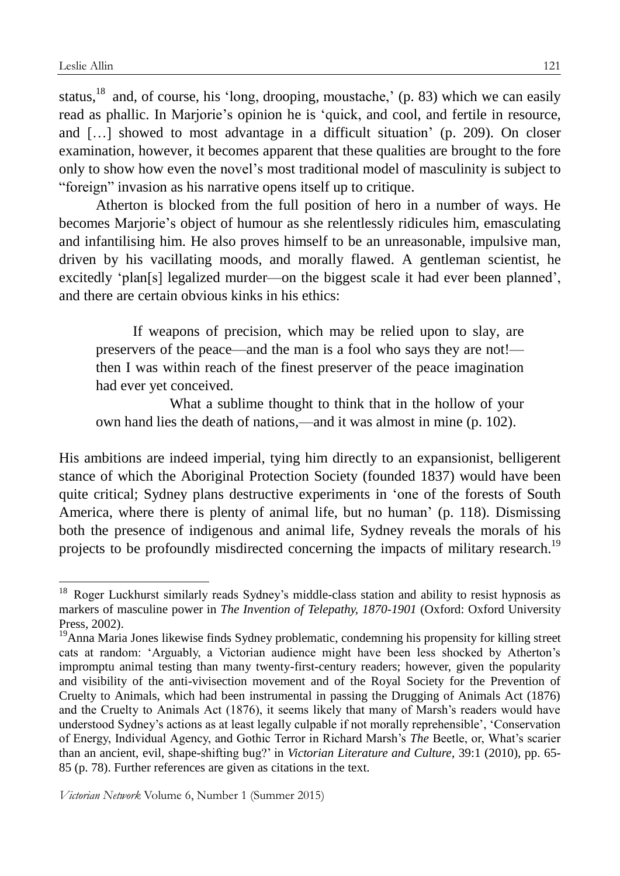1

status,<sup>18</sup> and, of course, his 'long, drooping, moustache,' (p. 83) which we can easily read as phallic. In Marjorie's opinion he is 'quick, and cool, and fertile in resource, and […] showed to most advantage in a difficult situation' (p. 209). On closer examination, however, it becomes apparent that these qualities are brought to the fore only to show how even the novel's most traditional model of masculinity is subject to "foreign" invasion as his narrative opens itself up to critique.

Atherton is blocked from the full position of hero in a number of ways. He becomes Marjorie's object of humour as she relentlessly ridicules him, emasculating and infantilising him. He also proves himself to be an unreasonable, impulsive man, driven by his vacillating moods, and morally flawed. A gentleman scientist, he excitedly 'plan[s] legalized murder—on the biggest scale it had ever been planned', and there are certain obvious kinks in his ethics:

If weapons of precision, which may be relied upon to slay, are preservers of the peace—and the man is a fool who says they are not! then I was within reach of the finest preserver of the peace imagination had ever yet conceived.

What a sublime thought to think that in the hollow of your own hand lies the death of nations,—and it was almost in mine (p. 102).

His ambitions are indeed imperial, tying him directly to an expansionist, belligerent stance of which the Aboriginal Protection Society (founded 1837) would have been quite critical; Sydney plans destructive experiments in 'one of the forests of South America, where there is plenty of animal life, but no human' (p. 118). Dismissing both the presence of indigenous and animal life, Sydney reveals the morals of his projects to be profoundly misdirected concerning the impacts of military research.<sup>19</sup>

<sup>&</sup>lt;sup>18</sup> Roger Luckhurst similarly reads Sydney's middle-class station and ability to resist hypnosis as markers of masculine power in *The Invention of Telepathy, 1870-1901* (Oxford: Oxford University Press, 2002).

<sup>&</sup>lt;sup>19</sup>Anna Maria Jones likewise finds Sydney problematic, condemning his propensity for killing street cats at random: 'Arguably, a Victorian audience might have been less shocked by Atherton's impromptu animal testing than many twenty-first-century readers; however, given the popularity and visibility of the anti-vivisection movement and of the Royal Society for the Prevention of Cruelty to Animals, which had been instrumental in passing the Drugging of Animals Act (1876) and the Cruelty to Animals Act (1876), it seems likely that many of Marsh's readers would have understood Sydney's actions as at least legally culpable if not morally reprehensible', 'Conservation of Energy, Individual Agency, and Gothic Terror in Richard Marsh's *The* Beetle, or, What's scarier than an ancient, evil, shape-shifting bug?' in *Victorian Literature and Culture*, 39:1 (2010), pp. 65- 85 (p. 78). Further references are given as citations in the text.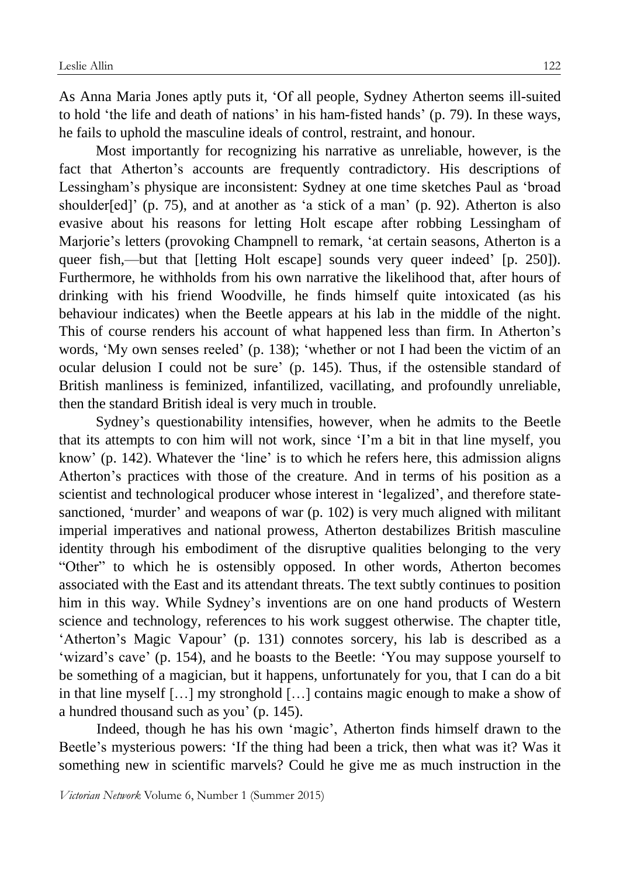As Anna Maria Jones aptly puts it, 'Of all people, Sydney Atherton seems ill-suited to hold 'the life and death of nations' in his ham-fisted hands' (p. 79). In these ways, he fails to uphold the masculine ideals of control, restraint, and honour.

Most importantly for recognizing his narrative as unreliable, however, is the fact that Atherton's accounts are frequently contradictory. His descriptions of Lessingham's physique are inconsistent: Sydney at one time sketches Paul as 'broad shoulder[ed]' (p. 75), and at another as 'a stick of a man' (p. 92). Atherton is also evasive about his reasons for letting Holt escape after robbing Lessingham of Marjorie's letters (provoking Champnell to remark, 'at certain seasons, Atherton is a queer fish,—but that [letting Holt escape] sounds very queer indeed' [p. 250]). Furthermore, he withholds from his own narrative the likelihood that, after hours of drinking with his friend Woodville, he finds himself quite intoxicated (as his behaviour indicates) when the Beetle appears at his lab in the middle of the night. This of course renders his account of what happened less than firm. In Atherton's words, 'My own senses reeled' (p. 138); 'whether or not I had been the victim of an ocular delusion I could not be sure' (p. 145). Thus, if the ostensible standard of British manliness is feminized, infantilized, vacillating, and profoundly unreliable, then the standard British ideal is very much in trouble.

Sydney's questionability intensifies, however, when he admits to the Beetle that its attempts to con him will not work, since 'I'm a bit in that line myself, you know' (p. 142). Whatever the 'line' is to which he refers here, this admission aligns Atherton's practices with those of the creature. And in terms of his position as a scientist and technological producer whose interest in 'legalized', and therefore statesanctioned, 'murder' and weapons of war (p. 102) is very much aligned with militant imperial imperatives and national prowess, Atherton destabilizes British masculine identity through his embodiment of the disruptive qualities belonging to the very "Other" to which he is ostensibly opposed. In other words, Atherton becomes associated with the East and its attendant threats. The text subtly continues to position him in this way. While Sydney's inventions are on one hand products of Western science and technology, references to his work suggest otherwise. The chapter title, 'Atherton's Magic Vapour' (p. 131) connotes sorcery, his lab is described as a 'wizard's cave' (p. 154), and he boasts to the Beetle: 'You may suppose yourself to be something of a magician, but it happens, unfortunately for you, that I can do a bit in that line myself […] my stronghold […] contains magic enough to make a show of a hundred thousand such as you' (p. 145).

Indeed, though he has his own 'magic', Atherton finds himself drawn to the Beetle's mysterious powers: 'If the thing had been a trick, then what was it? Was it something new in scientific marvels? Could he give me as much instruction in the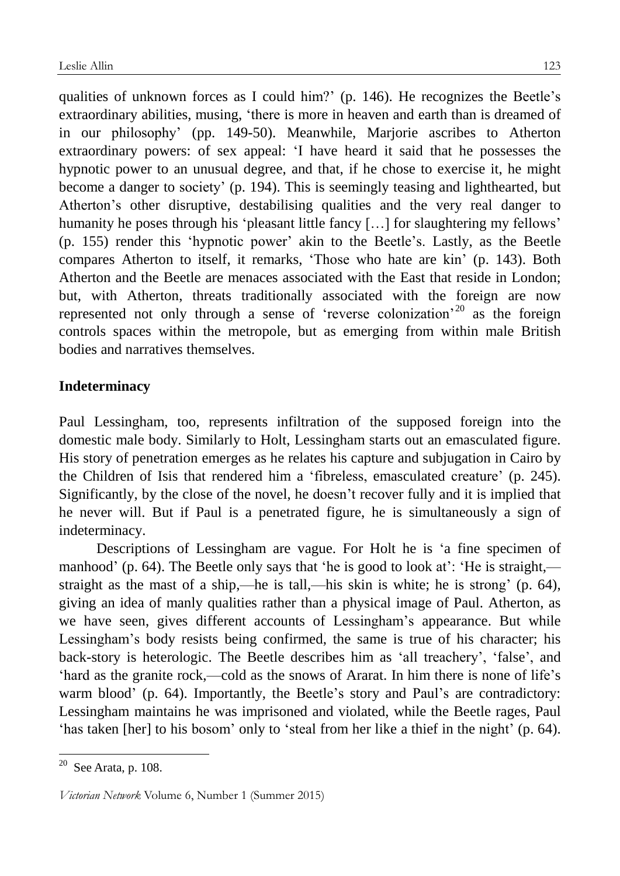qualities of unknown forces as I could him?' (p. 146). He recognizes the Beetle's extraordinary abilities, musing, 'there is more in heaven and earth than is dreamed of in our philosophy' (pp. 149-50). Meanwhile, Marjorie ascribes to Atherton extraordinary powers: of sex appeal: 'I have heard it said that he possesses the hypnotic power to an unusual degree, and that, if he chose to exercise it, he might become a danger to society' (p. 194). This is seemingly teasing and lighthearted, but Atherton's other disruptive, destabilising qualities and the very real danger to humanity he poses through his 'pleasant little fancy [...] for slaughtering my fellows' (p. 155) render this 'hypnotic power' akin to the Beetle's. Lastly, as the Beetle compares Atherton to itself, it remarks, 'Those who hate are kin' (p. 143). Both Atherton and the Beetle are menaces associated with the East that reside in London; but, with Atherton, threats traditionally associated with the foreign are now represented not only through a sense of 'reverse colonization'<sup>20</sup> as the foreign controls spaces within the metropole, but as emerging from within male British bodies and narratives themselves.

# **Indeterminacy**

Paul Lessingham, too, represents infiltration of the supposed foreign into the domestic male body. Similarly to Holt, Lessingham starts out an emasculated figure. His story of penetration emerges as he relates his capture and subjugation in Cairo by the Children of Isis that rendered him a 'fibreless, emasculated creature' (p. 245). Significantly, by the close of the novel, he doesn't recover fully and it is implied that he never will. But if Paul is a penetrated figure, he is simultaneously a sign of indeterminacy.

Descriptions of Lessingham are vague. For Holt he is 'a fine specimen of manhood' (p. 64). The Beetle only says that 'he is good to look at': 'He is straight, straight as the mast of a ship,—he is tall,—his skin is white; he is strong' (p. 64), giving an idea of manly qualities rather than a physical image of Paul. Atherton, as we have seen, gives different accounts of Lessingham's appearance. But while Lessingham's body resists being confirmed, the same is true of his character; his back-story is heterologic. The Beetle describes him as 'all treachery', 'false', and 'hard as the granite rock,—cold as the snows of Ararat. In him there is none of life's warm blood' (p. 64). Importantly, the Beetle's story and Paul's are contradictory: Lessingham maintains he was imprisoned and violated, while the Beetle rages, Paul 'has taken [her] to his bosom' only to 'steal from her like a thief in the night' (p. 64).

 $20$  See Arata, p. 108.

*Victorian Network* Volume 6, Number 1 (Summer 2015)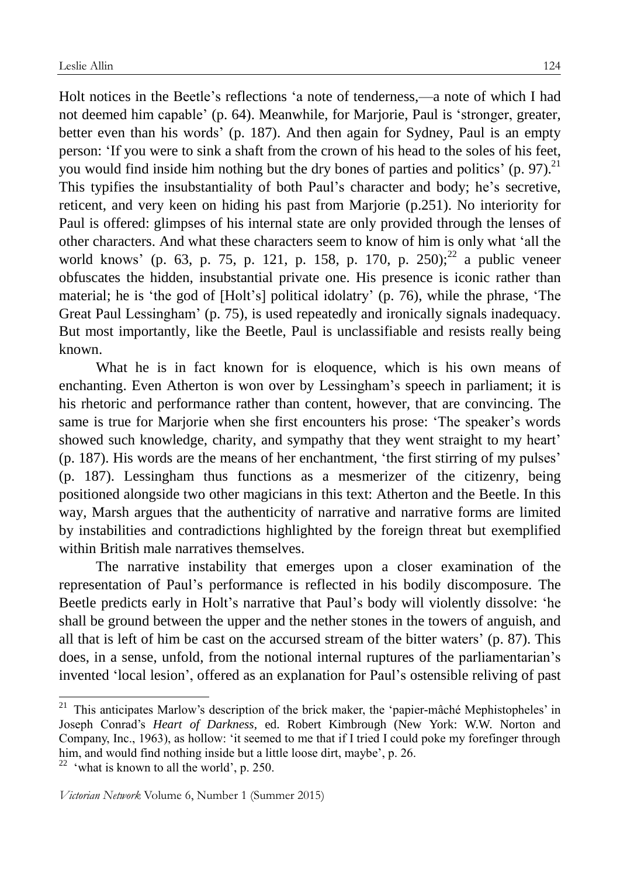Holt notices in the Beetle's reflections 'a note of tenderness,—a note of which I had not deemed him capable' (p. 64). Meanwhile, for Marjorie, Paul is 'stronger, greater, better even than his words' (p. 187). And then again for Sydney, Paul is an empty person: 'If you were to sink a shaft from the crown of his head to the soles of his feet, you would find inside him nothing but the dry bones of parties and politics'  $(p. 97)^{21}$ This typifies the insubstantiality of both Paul's character and body; he's secretive, reticent, and very keen on hiding his past from Marjorie (p.251). No interiority for Paul is offered: glimpses of his internal state are only provided through the lenses of other characters. And what these characters seem to know of him is only what 'all the world knows' (p. 63, p. 75, p. 121, p. 158, p. 170, p. 250);  $^{22}$  a public veneer obfuscates the hidden, insubstantial private one. His presence is iconic rather than material; he is 'the god of [Holt's] political idolatry' (p. 76), while the phrase, 'The Great Paul Lessingham' (p. 75), is used repeatedly and ironically signals inadequacy. But most importantly, like the Beetle, Paul is unclassifiable and resists really being known.

What he is in fact known for is eloquence, which is his own means of enchanting. Even Atherton is won over by Lessingham's speech in parliament; it is his rhetoric and performance rather than content, however, that are convincing. The same is true for Marjorie when she first encounters his prose: 'The speaker's words showed such knowledge, charity, and sympathy that they went straight to my heart' (p. 187). His words are the means of her enchantment, 'the first stirring of my pulses' (p. 187). Lessingham thus functions as a mesmerizer of the citizenry, being positioned alongside two other magicians in this text: Atherton and the Beetle. In this way, Marsh argues that the authenticity of narrative and narrative forms are limited by instabilities and contradictions highlighted by the foreign threat but exemplified within British male narratives themselves.

The narrative instability that emerges upon a closer examination of the representation of Paul's performance is reflected in his bodily discomposure. The Beetle predicts early in Holt's narrative that Paul's body will violently dissolve: 'he shall be ground between the upper and the nether stones in the towers of anguish, and all that is left of him be cast on the accursed stream of the bitter waters' (p. 87). This does, in a sense, unfold, from the notional internal ruptures of the parliamentarian's invented 'local lesion', offered as an explanation for Paul's ostensible reliving of past

<u>.</u>

<sup>&</sup>lt;sup>21</sup> This anticipates Marlow's description of the brick maker, the 'papier-mâché Mephistopheles' in Joseph Conrad's *Heart of Darkness*, ed. Robert Kimbrough (New York: W.W. Norton and Company, Inc., 1963), as hollow: 'it seemed to me that if I tried I could poke my forefinger through him, and would find nothing inside but a little loose dirt, maybe', p. 26.

<sup>&</sup>lt;sup>22</sup> 'what is known to all the world', p. 250.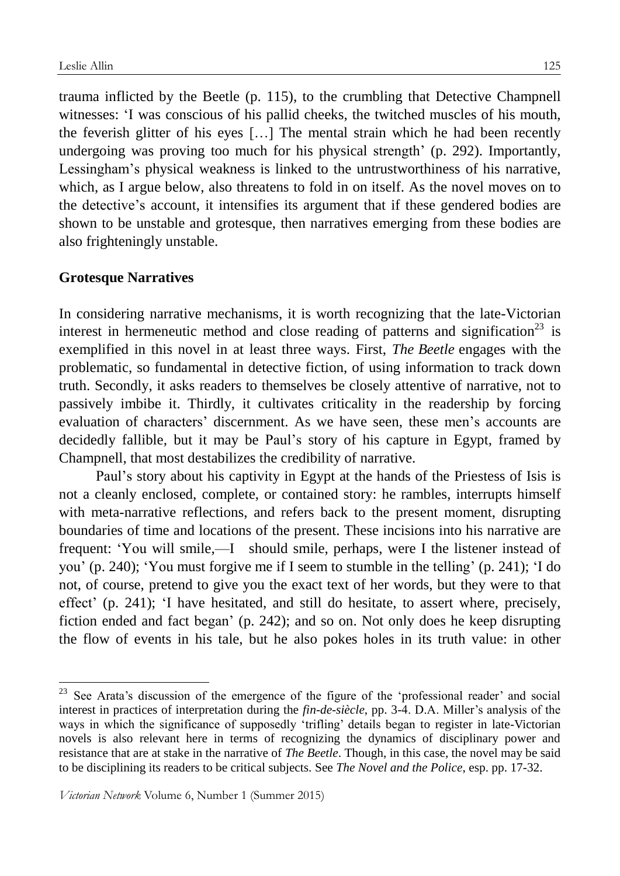trauma inflicted by the Beetle (p. 115), to the crumbling that Detective Champnell witnesses: 'I was conscious of his pallid cheeks, the twitched muscles of his mouth, the feverish glitter of his eyes […] The mental strain which he had been recently undergoing was proving too much for his physical strength' (p. 292). Importantly, Lessingham's physical weakness is linked to the untrustworthiness of his narrative, which, as I argue below, also threatens to fold in on itself. As the novel moves on to the detective's account, it intensifies its argument that if these gendered bodies are shown to be unstable and grotesque, then narratives emerging from these bodies are also frighteningly unstable.

### **Grotesque Narratives**

1

In considering narrative mechanisms, it is worth recognizing that the late-Victorian interest in hermeneutic method and close reading of patterns and signification<sup>23</sup> is exemplified in this novel in at least three ways. First, *The Beetle* engages with the problematic, so fundamental in detective fiction, of using information to track down truth. Secondly, it asks readers to themselves be closely attentive of narrative, not to passively imbibe it. Thirdly, it cultivates criticality in the readership by forcing evaluation of characters' discernment. As we have seen, these men's accounts are decidedly fallible, but it may be Paul's story of his capture in Egypt, framed by Champnell, that most destabilizes the credibility of narrative.

Paul's story about his captivity in Egypt at the hands of the Priestess of Isis is not a cleanly enclosed, complete, or contained story: he rambles, interrupts himself with meta-narrative reflections, and refers back to the present moment, disrupting boundaries of time and locations of the present. These incisions into his narrative are frequent: 'You will smile,—I should smile, perhaps, were I the listener instead of you' (p. 240); 'You must forgive me if I seem to stumble in the telling' (p. 241); 'I do not, of course, pretend to give you the exact text of her words, but they were to that effect' (p. 241); 'I have hesitated, and still do hesitate, to assert where, precisely, fiction ended and fact began' (p. 242); and so on. Not only does he keep disrupting the flow of events in his tale, but he also pokes holes in its truth value: in other

 $23$  See Arata's discussion of the emergence of the figure of the 'professional reader' and social interest in practices of interpretation during the *fin-de-siècle*, pp. 3-4. D.A. Miller's analysis of the ways in which the significance of supposedly 'trifling' details began to register in late-Victorian novels is also relevant here in terms of recognizing the dynamics of disciplinary power and resistance that are at stake in the narrative of *The Beetle*. Though, in this case, the novel may be said to be disciplining its readers to be critical subjects. See *The Novel and the Police*, esp. pp. 17-32.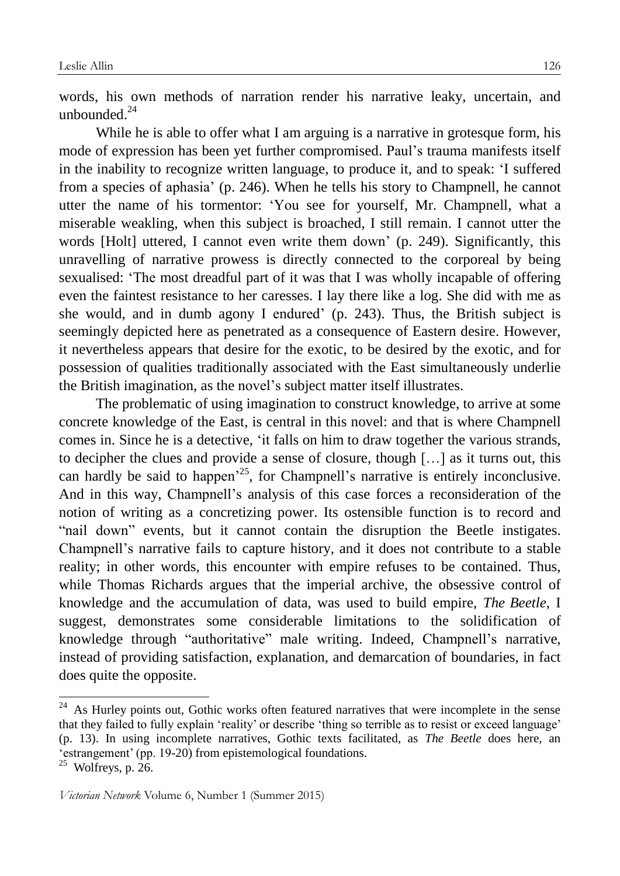words, his own methods of narration render his narrative leaky, uncertain, and unbounded. $^{24}$ 

While he is able to offer what I am arguing is a narrative in grotesque form, his mode of expression has been yet further compromised. Paul's trauma manifests itself in the inability to recognize written language, to produce it, and to speak: 'I suffered from a species of aphasia' (p. 246). When he tells his story to Champnell, he cannot utter the name of his tormentor: 'You see for yourself, Mr. Champnell, what a miserable weakling, when this subject is broached, I still remain. I cannot utter the words [Holt] uttered, I cannot even write them down' (p. 249). Significantly, this unravelling of narrative prowess is directly connected to the corporeal by being sexualised: 'The most dreadful part of it was that I was wholly incapable of offering even the faintest resistance to her caresses. I lay there like a log. She did with me as she would, and in dumb agony I endured' (p. 243). Thus, the British subject is seemingly depicted here as penetrated as a consequence of Eastern desire. However, it nevertheless appears that desire for the exotic, to be desired by the exotic, and for possession of qualities traditionally associated with the East simultaneously underlie the British imagination, as the novel's subject matter itself illustrates.

The problematic of using imagination to construct knowledge, to arrive at some concrete knowledge of the East, is central in this novel: and that is where Champnell comes in. Since he is a detective, 'it falls on him to draw together the various strands, to decipher the clues and provide a sense of closure, though […] as it turns out, this can hardly be said to happen<sup>25</sup>, for Champnell's narrative is entirely inconclusive. And in this way, Champnell's analysis of this case forces a reconsideration of the notion of writing as a concretizing power. Its ostensible function is to record and "nail down" events, but it cannot contain the disruption the Beetle instigates. Champnell's narrative fails to capture history, and it does not contribute to a stable reality; in other words, this encounter with empire refuses to be contained. Thus, while Thomas Richards argues that the imperial archive, the obsessive control of knowledge and the accumulation of data, was used to build empire, *The Beetle*, I suggest, demonstrates some considerable limitations to the solidification of knowledge through "authoritative" male writing. Indeed, Champnell's narrative, instead of providing satisfaction, explanation, and demarcation of boundaries, in fact does quite the opposite.

<u>.</u>

 $24$  As Hurley points out, Gothic works often featured narratives that were incomplete in the sense that they failed to fully explain 'reality' or describe 'thing so terrible as to resist or exceed language' (p. 13). In using incomplete narratives, Gothic texts facilitated, as *The Beetle* does here, an 'estrangement' (pp. 19-20) from epistemological foundations.

 $25$  Wolfreys, p. 26.

*Victorian Network* Volume 6, Number 1 (Summer 2015)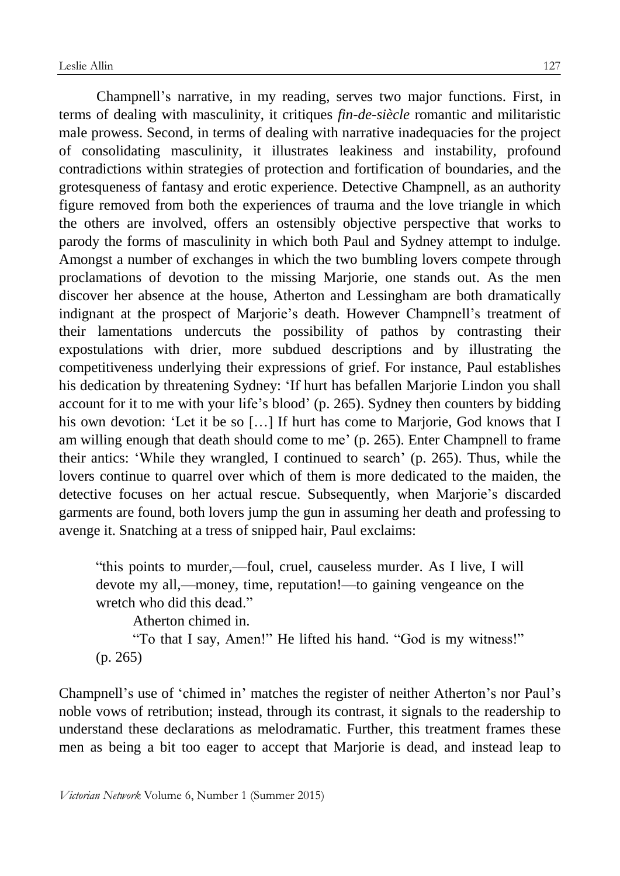Champnell's narrative, in my reading, serves two major functions. First, in terms of dealing with masculinity, it critiques *fin-de-siècle* romantic and militaristic male prowess. Second, in terms of dealing with narrative inadequacies for the project of consolidating masculinity, it illustrates leakiness and instability, profound contradictions within strategies of protection and fortification of boundaries, and the grotesqueness of fantasy and erotic experience. Detective Champnell, as an authority figure removed from both the experiences of trauma and the love triangle in which the others are involved, offers an ostensibly objective perspective that works to parody the forms of masculinity in which both Paul and Sydney attempt to indulge. Amongst a number of exchanges in which the two bumbling lovers compete through proclamations of devotion to the missing Marjorie, one stands out. As the men discover her absence at the house, Atherton and Lessingham are both dramatically indignant at the prospect of Marjorie's death. However Champnell's treatment of their lamentations undercuts the possibility of pathos by contrasting their expostulations with drier, more subdued descriptions and by illustrating the competitiveness underlying their expressions of grief. For instance, Paul establishes his dedication by threatening Sydney: 'If hurt has befallen Marjorie Lindon you shall account for it to me with your life's blood' (p. 265). Sydney then counters by bidding his own devotion: 'Let it be so [...] If hurt has come to Marjorie, God knows that I am willing enough that death should come to me' (p. 265). Enter Champnell to frame their antics: 'While they wrangled, I continued to search' (p. 265). Thus, while the lovers continue to quarrel over which of them is more dedicated to the maiden, the detective focuses on her actual rescue. Subsequently, when Marjorie's discarded garments are found, both lovers jump the gun in assuming her death and professing to avenge it. Snatching at a tress of snipped hair, Paul exclaims:

"this points to murder,—foul, cruel, causeless murder. As I live, I will devote my all,—money, time, reputation!—to gaining vengeance on the wretch who did this dead."

Atherton chimed in.

"To that I say, Amen!" He lifted his hand. "God is my witness!" (p. 265)

Champnell's use of 'chimed in' matches the register of neither Atherton's nor Paul's noble vows of retribution; instead, through its contrast, it signals to the readership to understand these declarations as melodramatic. Further, this treatment frames these men as being a bit too eager to accept that Marjorie is dead, and instead leap to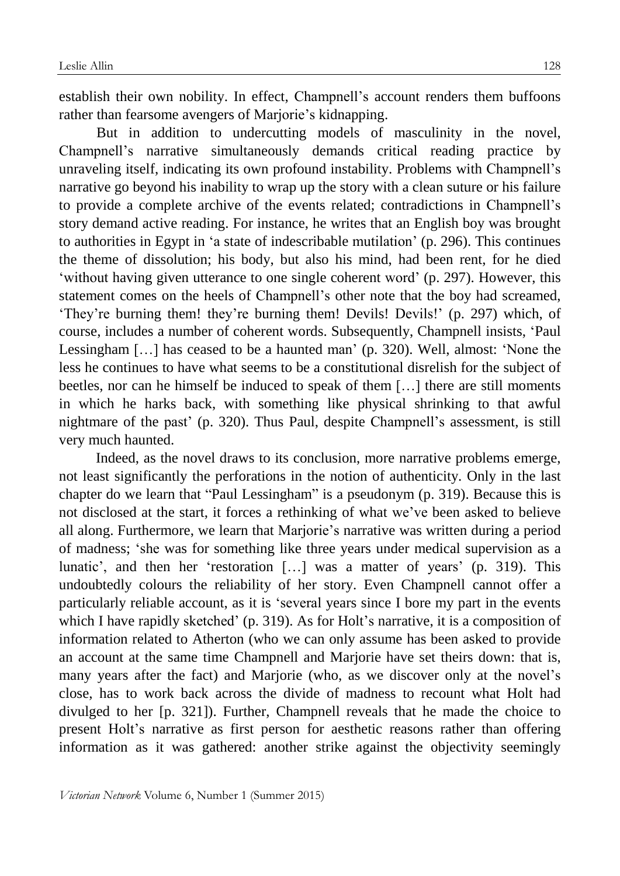establish their own nobility. In effect, Champnell's account renders them buffoons rather than fearsome avengers of Marjorie's kidnapping.

But in addition to undercutting models of masculinity in the novel, Champnell's narrative simultaneously demands critical reading practice by unraveling itself, indicating its own profound instability. Problems with Champnell's narrative go beyond his inability to wrap up the story with a clean suture or his failure to provide a complete archive of the events related; contradictions in Champnell's story demand active reading. For instance, he writes that an English boy was brought to authorities in Egypt in 'a state of indescribable mutilation' (p. 296). This continues the theme of dissolution; his body, but also his mind, had been rent, for he died 'without having given utterance to one single coherent word' (p. 297). However, this statement comes on the heels of Champnell's other note that the boy had screamed, 'They're burning them! they're burning them! Devils! Devils!' (p. 297) which, of course, includes a number of coherent words. Subsequently, Champnell insists, 'Paul Lessingham […] has ceased to be a haunted man' (p. 320). Well, almost: 'None the less he continues to have what seems to be a constitutional disrelish for the subject of beetles, nor can he himself be induced to speak of them […] there are still moments in which he harks back, with something like physical shrinking to that awful nightmare of the past' (p. 320). Thus Paul, despite Champnell's assessment, is still very much haunted.

Indeed, as the novel draws to its conclusion, more narrative problems emerge, not least significantly the perforations in the notion of authenticity. Only in the last chapter do we learn that "Paul Lessingham" is a pseudonym (p. 319). Because this is not disclosed at the start, it forces a rethinking of what we've been asked to believe all along. Furthermore, we learn that Marjorie's narrative was written during a period of madness; 'she was for something like three years under medical supervision as a lunatic', and then her 'restoration […] was a matter of years' (p. 319). This undoubtedly colours the reliability of her story. Even Champnell cannot offer a particularly reliable account, as it is 'several years since I bore my part in the events which I have rapidly sketched' (p. 319). As for Holt's narrative, it is a composition of information related to Atherton (who we can only assume has been asked to provide an account at the same time Champnell and Marjorie have set theirs down: that is, many years after the fact) and Marjorie (who, as we discover only at the novel's close, has to work back across the divide of madness to recount what Holt had divulged to her [p. 321]). Further, Champnell reveals that he made the choice to present Holt's narrative as first person for aesthetic reasons rather than offering information as it was gathered: another strike against the objectivity seemingly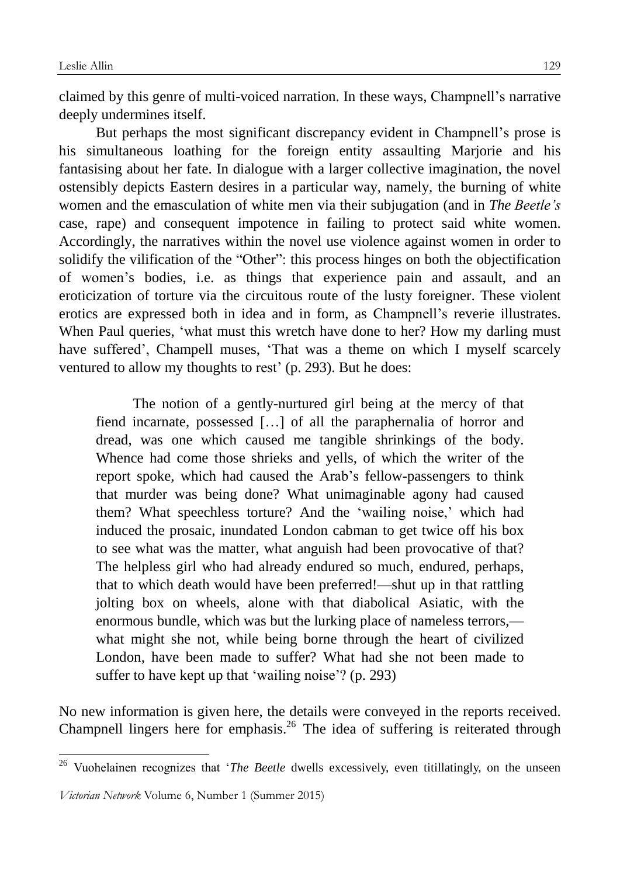claimed by this genre of multi-voiced narration. In these ways, Champnell's narrative deeply undermines itself.

But perhaps the most significant discrepancy evident in Champnell's prose is his simultaneous loathing for the foreign entity assaulting Marjorie and his fantasising about her fate. In dialogue with a larger collective imagination, the novel ostensibly depicts Eastern desires in a particular way, namely, the burning of white women and the emasculation of white men via their subjugation (and in *The Beetle's* case, rape) and consequent impotence in failing to protect said white women. Accordingly, the narratives within the novel use violence against women in order to solidify the vilification of the "Other": this process hinges on both the objectification of women's bodies, i.e. as things that experience pain and assault, and an eroticization of torture via the circuitous route of the lusty foreigner. These violent erotics are expressed both in idea and in form, as Champnell's reverie illustrates. When Paul queries, 'what must this wretch have done to her? How my darling must have suffered', Champell muses, 'That was a theme on which I myself scarcely ventured to allow my thoughts to rest' (p. 293). But he does:

The notion of a gently-nurtured girl being at the mercy of that fiend incarnate, possessed […] of all the paraphernalia of horror and dread, was one which caused me tangible shrinkings of the body. Whence had come those shrieks and yells, of which the writer of the report spoke, which had caused the Arab's fellow-passengers to think that murder was being done? What unimaginable agony had caused them? What speechless torture? And the 'wailing noise,' which had induced the prosaic, inundated London cabman to get twice off his box to see what was the matter, what anguish had been provocative of that? The helpless girl who had already endured so much, endured, perhaps, that to which death would have been preferred!—shut up in that rattling jolting box on wheels, alone with that diabolical Asiatic, with the enormous bundle, which was but the lurking place of nameless terrors, what might she not, while being borne through the heart of civilized London, have been made to suffer? What had she not been made to suffer to have kept up that 'wailing noise'? (p. 293)

No new information is given here, the details were conveyed in the reports received. Champnell lingers here for emphasis.<sup>26</sup> The idea of suffering is reiterated through

<sup>&</sup>lt;sup>26</sup> Vuohelainen recognizes that '*The Beetle* dwells excessively, even titillatingly, on the unseen

*Victorian Network* Volume 6, Number 1 (Summer 2015)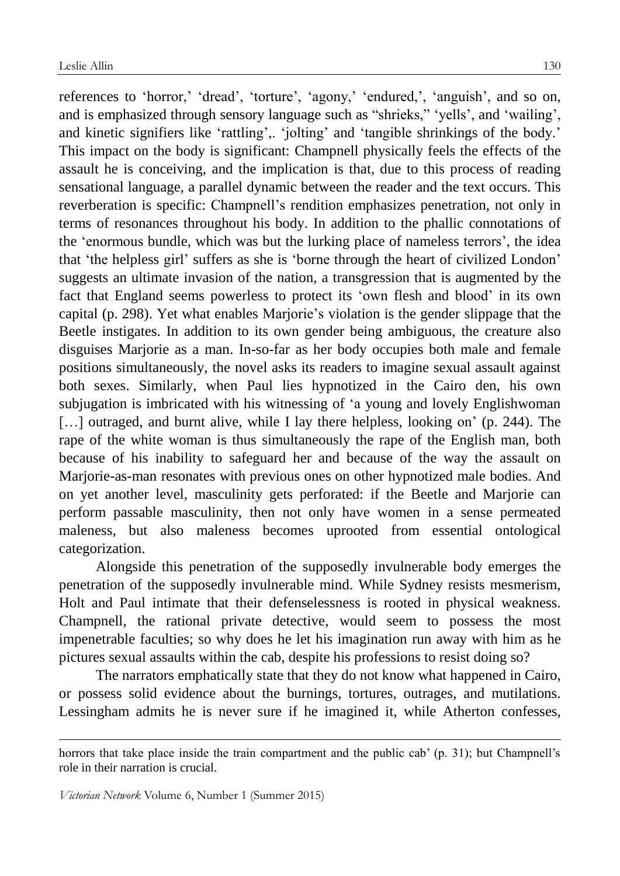references to 'horror,' 'dread', 'torture', 'agony,' 'endured,', 'anguish', and so on, and is emphasized through sensory language such as "shrieks," 'yells', and 'wailing', and kinetic signifiers like 'rattling',. 'jolting' and 'tangible shrinkings of the body.' This impact on the body is significant: Champnell physically feels the effects of the assault he is conceiving, and the implication is that, due to this process of reading sensational language, a parallel dynamic between the reader and the text occurs. This reverberation is specific: Champnell's rendition emphasizes penetration, not only in terms of resonances throughout his body. In addition to the phallic connotations of the 'enormous bundle, which was but the lurking place of nameless terrors', the idea that 'the helpless girl' suffers as she is 'borne through the heart of civilized London' suggests an ultimate invasion of the nation, a transgression that is augmented by the fact that England seems powerless to protect its 'own flesh and blood' in its own capital (p. 298). Yet what enables Marjorie's violation is the gender slippage that the Beetle instigates. In addition to its own gender being ambiguous, the creature also disguises Marjorie as a man. In-so-far as her body occupies both male and female positions simultaneously, the novel asks its readers to imagine sexual assault against both sexes. Similarly, when Paul lies hypnotized in the Cairo den, his own subjugation is imbricated with his witnessing of 'a young and lovely Englishwoman [...] outraged, and burnt alive, while I lay there helpless, looking on' (p. 244). The rape of the white woman is thus simultaneously the rape of the English man, both because of his inability to safeguard her and because of the way the assault on Marjorie-as-man resonates with previous ones on other hypnotized male bodies. And on yet another level, masculinity gets perforated: if the Beetle and Marjorie can perform passable masculinity, then not only have women in a sense permeated maleness, but also maleness becomes uprooted from essential ontological categorization.

Alongside this penetration of the supposedly invulnerable body emerges the penetration of the supposedly invulnerable mind. While Sydney resists mesmerism, Holt and Paul intimate that their defenselessness is rooted in physical weakness. Champnell, the rational private detective, would seem to possess the most impenetrable faculties; so why does he let his imagination run away with him as he pictures sexual assaults within the cab, despite his professions to resist doing so?

The narrators emphatically state that they do not know what happened in Cairo, or possess solid evidence about the burnings, tortures, outrages, and mutilations. Lessingham admits he is never sure if he imagined it, while Atherton confesses,

horrors that take place inside the train compartment and the public cab' (p. 31); but Champnell's role in their narration is crucial.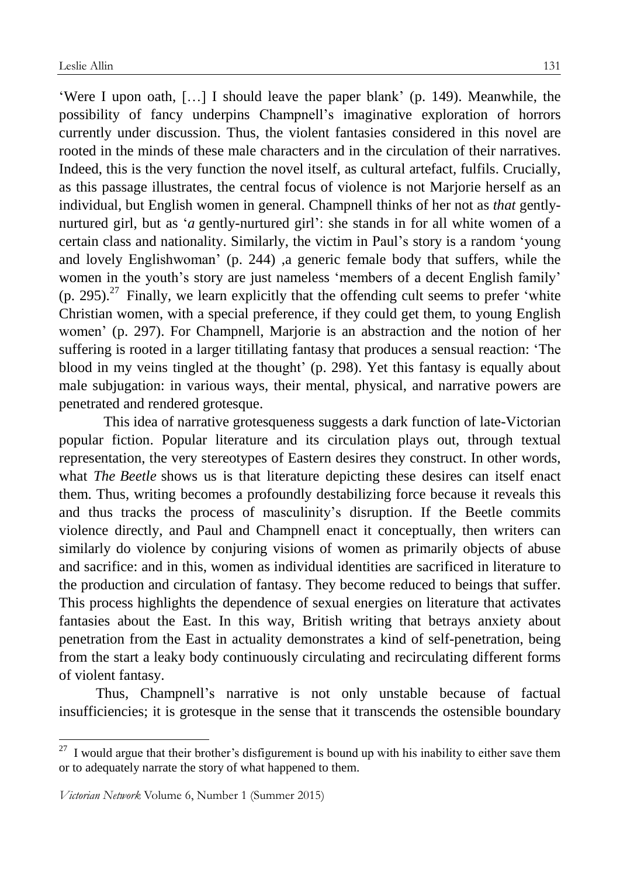'Were I upon oath, […] I should leave the paper blank' (p. 149). Meanwhile, the possibility of fancy underpins Champnell's imaginative exploration of horrors currently under discussion. Thus, the violent fantasies considered in this novel are rooted in the minds of these male characters and in the circulation of their narratives. Indeed, this is the very function the novel itself, as cultural artefact, fulfils. Crucially, as this passage illustrates, the central focus of violence is not Marjorie herself as an individual, but English women in general. Champnell thinks of her not as *that* gentlynurtured girl, but as '*a* gently-nurtured girl': she stands in for all white women of a certain class and nationality. Similarly, the victim in Paul's story is a random 'young and lovely Englishwoman' (p. 244) ,a generic female body that suffers, while the women in the youth's story are just nameless 'members of a decent English family'  $(p. 295)$ .<sup>27</sup> Finally, we learn explicitly that the offending cult seems to prefer 'white Christian women, with a special preference, if they could get them, to young English women' (p. 297). For Champnell, Marjorie is an abstraction and the notion of her suffering is rooted in a larger titillating fantasy that produces a sensual reaction: 'The blood in my veins tingled at the thought' (p. 298). Yet this fantasy is equally about male subjugation: in various ways, their mental, physical, and narrative powers are penetrated and rendered grotesque.

This idea of narrative grotesqueness suggests a dark function of late-Victorian popular fiction. Popular literature and its circulation plays out, through textual representation, the very stereotypes of Eastern desires they construct. In other words, what *The Beetle* shows us is that literature depicting these desires can itself enact them. Thus, writing becomes a profoundly destabilizing force because it reveals this and thus tracks the process of masculinity's disruption. If the Beetle commits violence directly, and Paul and Champnell enact it conceptually, then writers can similarly do violence by conjuring visions of women as primarily objects of abuse and sacrifice: and in this, women as individual identities are sacrificed in literature to the production and circulation of fantasy. They become reduced to beings that suffer. This process highlights the dependence of sexual energies on literature that activates fantasies about the East. In this way, British writing that betrays anxiety about penetration from the East in actuality demonstrates a kind of self-penetration, being from the start a leaky body continuously circulating and recirculating different forms of violent fantasy.

Thus, Champnell's narrative is not only unstable because of factual insufficiencies; it is grotesque in the sense that it transcends the ostensible boundary

 $27$  I would argue that their brother's disfigurement is bound up with his inability to either save them or to adequately narrate the story of what happened to them.

*Victorian Network* Volume 6, Number 1 (Summer 2015)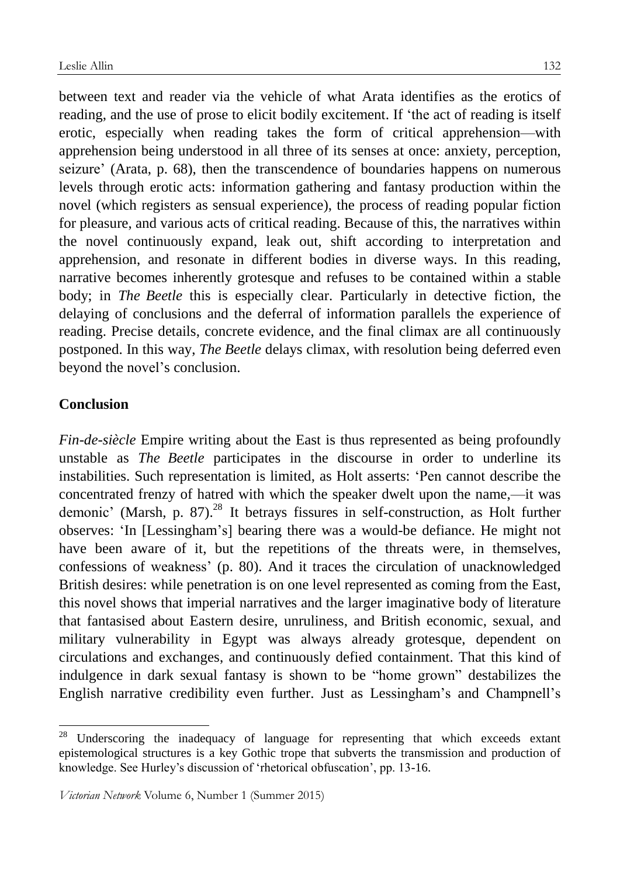between text and reader via the vehicle of what Arata identifies as the erotics of reading, and the use of prose to elicit bodily excitement. If 'the act of reading is itself erotic, especially when reading takes the form of critical apprehension—with apprehension being understood in all three of its senses at once: anxiety, perception, seizure' (Arata, p. 68), then the transcendence of boundaries happens on numerous levels through erotic acts: information gathering and fantasy production within the novel (which registers as sensual experience), the process of reading popular fiction for pleasure, and various acts of critical reading. Because of this, the narratives within the novel continuously expand, leak out, shift according to interpretation and apprehension, and resonate in different bodies in diverse ways. In this reading, narrative becomes inherently grotesque and refuses to be contained within a stable body; in *The Beetle* this is especially clear. Particularly in detective fiction, the delaying of conclusions and the deferral of information parallels the experience of reading. Precise details, concrete evidence, and the final climax are all continuously postponed. In this way, *The Beetle* delays climax, with resolution being deferred even beyond the novel's conclusion.

# **Conclusion**

1

*Fin-de-siècle* Empire writing about the East is thus represented as being profoundly unstable as *The Beetle* participates in the discourse in order to underline its instabilities. Such representation is limited, as Holt asserts: 'Pen cannot describe the concentrated frenzy of hatred with which the speaker dwelt upon the name,—it was demonic' (Marsh, p. 87).<sup>28</sup> It betrays fissures in self-construction, as Holt further observes: 'In [Lessingham's] bearing there was a would-be defiance. He might not have been aware of it, but the repetitions of the threats were, in themselves, confessions of weakness' (p. 80). And it traces the circulation of unacknowledged British desires: while penetration is on one level represented as coming from the East, this novel shows that imperial narratives and the larger imaginative body of literature that fantasised about Eastern desire, unruliness, and British economic, sexual, and military vulnerability in Egypt was always already grotesque, dependent on circulations and exchanges, and continuously defied containment. That this kind of indulgence in dark sexual fantasy is shown to be "home grown" destabilizes the English narrative credibility even further. Just as Lessingham's and Champnell's

 $28$  Underscoring the inadequacy of language for representing that which exceeds extant epistemological structures is a key Gothic trope that subverts the transmission and production of knowledge. See Hurley's discussion of 'rhetorical obfuscation', pp. 13-16.

*Victorian Network* Volume 6, Number 1 (Summer 2015)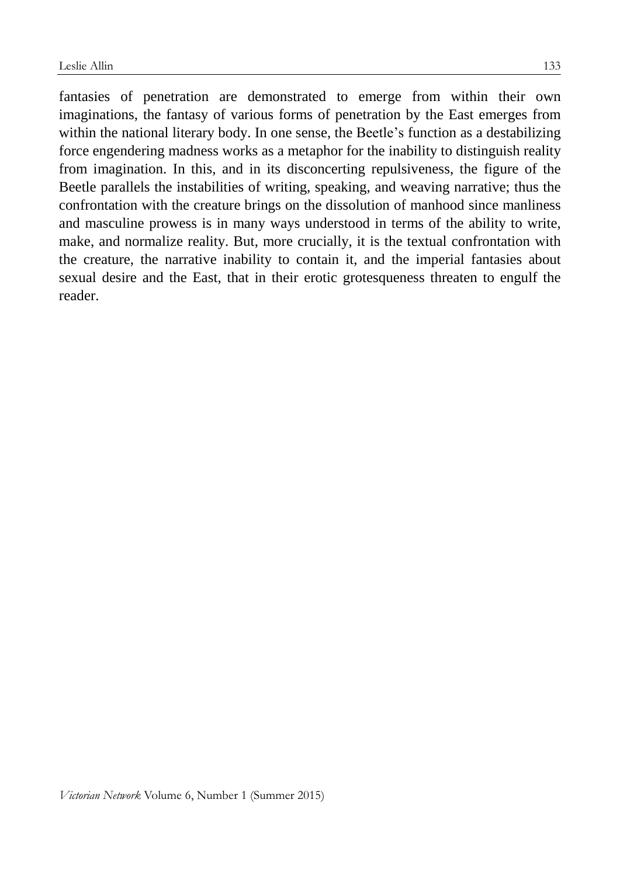fantasies of penetration are demonstrated to emerge from within their own imaginations, the fantasy of various forms of penetration by the East emerges from within the national literary body. In one sense, the Beetle's function as a destabilizing force engendering madness works as a metaphor for the inability to distinguish reality from imagination. In this, and in its disconcerting repulsiveness, the figure of the Beetle parallels the instabilities of writing, speaking, and weaving narrative; thus the confrontation with the creature brings on the dissolution of manhood since manliness and masculine prowess is in many ways understood in terms of the ability to write, make, and normalize reality. But, more crucially, it is the textual confrontation with the creature, the narrative inability to contain it, and the imperial fantasies about sexual desire and the East, that in their erotic grotesqueness threaten to engulf the reader.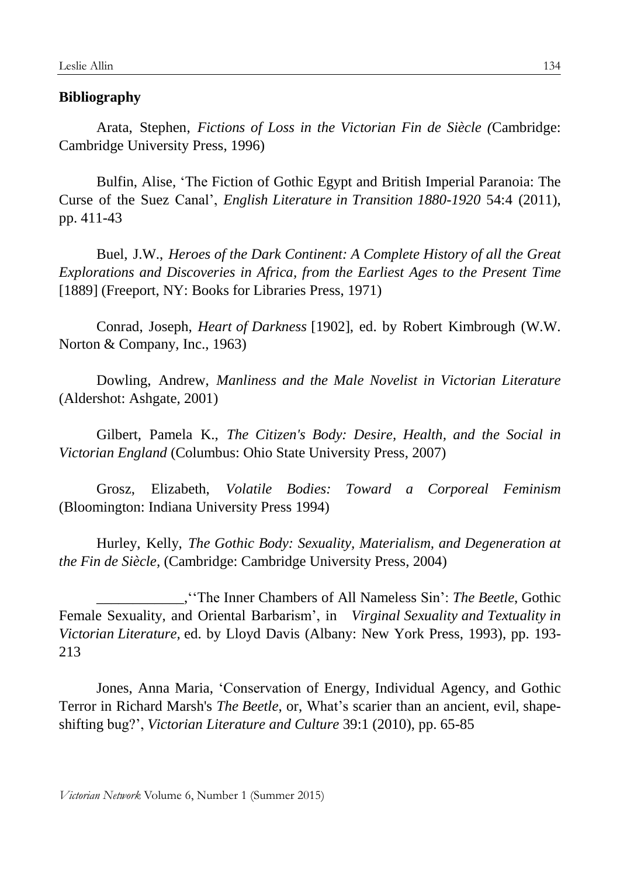### **Bibliography**

Arata, Stephen, *Fictions of Loss in the Victorian Fin de Siècle (*Cambridge: Cambridge University Press, 1996)

Bulfin, Alise, 'The Fiction of Gothic Egypt and British Imperial Paranoia: The Curse of the Suez Canal', *English Literature in Transition 1880-1920* 54:4 (2011), pp. 411-43

Buel, J.W., *Heroes of the Dark Continent: A Complete History of all the Great Explorations and Discoveries in Africa, from the Earliest Ages to the Present Time* [1889] (Freeport, NY: Books for Libraries Press, 1971)

Conrad, Joseph, *Heart of Darkness* [1902], ed. by Robert Kimbrough (W.W. Norton & Company, Inc., 1963)

Dowling, Andrew, *Manliness and the Male Novelist in Victorian Literature* (Aldershot: Ashgate, 2001)

Gilbert, Pamela K., *The Citizen's Body: Desire, Health, and the Social in Victorian England* (Columbus: Ohio State University Press, 2007)

Grosz, Elizabeth, *Volatile Bodies: Toward a Corporeal Feminism* (Bloomington: Indiana University Press 1994)

Hurley, Kelly, *The Gothic Body: Sexuality, Materialism, and Degeneration at the Fin de Siècle,* (Cambridge: Cambridge University Press, 2004)

\_\_\_\_\_\_\_\_\_\_\_\_,''The Inner Chambers of All Nameless Sin': *The Beetle*, Gothic Female Sexuality, and Oriental Barbarism', in *Virginal Sexuality and Textuality in Victorian Literature,* ed. by Lloyd Davis (Albany: New York Press, 1993), pp. 193- 213

Jones, Anna Maria, 'Conservation of Energy, Individual Agency, and Gothic Terror in Richard Marsh's *The Beetle*, or, What's scarier than an ancient, evil, shapeshifting bug?', *Victorian Literature and Culture* 39:1 (2010), pp. 65-85